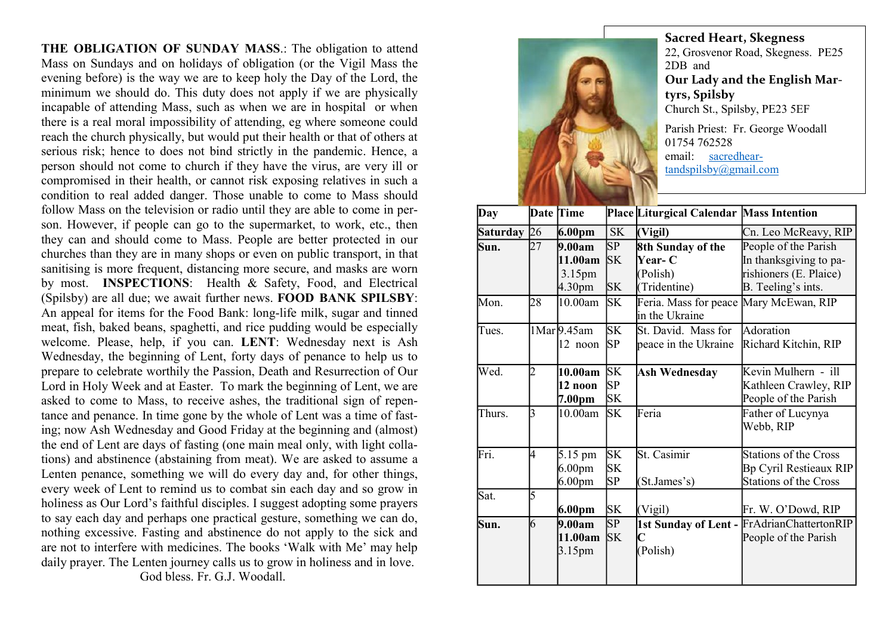THE OBLIGATION OF SUNDAY MASS.: The obligation to attend Mass on Sundays and on holidays of obligation (or the Vigil Mass the evening before) is the way we are to keep holy the Day of the Lord, the minimum we should do. This duty does not apply if we are physically incapable of attending Mass, such as when we are in hospital or when there is a real moral impossibility of attending, eg where someone could reach the church physically, but would put their health or that of others at serious risk; hence to does not bind strictly in the pandemic. Hence, a person should not come to church if they have the virus, are very ill or compromised in their health, or cannot risk exposing relatives in such a condition to real added danger. Those unable to come to Mass should follow Mass on the television or radio until they are able to come in person. However, if people can go to the supermarket, to work, etc., then they can and should come to Mass. People are better protected in our churches than they are in many shops or even on public transport, in that sanitising is more frequent, distancing more secure, and masks are worn by most. INSPECTIONS: Health & Safety, Food, and Electrical (Spilsby) are all due; we await further news. FOOD BANK SPILSBY: An appeal for items for the Food Bank: long-life milk, sugar and tinned meat, fish, baked beans, spaghetti, and rice pudding would be especially welcome. Please, help, if you can. LENT: Wednesday next is Ash Wednesday, the beginning of Lent, forty days of penance to help us to prepare to celebrate worthily the Passion, Death and Resurrection of Our Lord in Holy Week and at Easter. To mark the beginning of Lent, we are asked to come to Mass, to receive ashes, the traditional sign of repentance and penance. In time gone by the whole of Lent was a time of fasting; now Ash Wednesday and Good Friday at the beginning and (almost) the end of Lent are days of fasting (one main meal only, with light collations) and abstinence (abstaining from meat). We are asked to assume a Lenten penance, something we will do every day and, for other things, every week of Lent to remind us to combat sin each day and so grow in holiness as Our Lord's faithful disciples. I suggest adopting some prayers to say each day and perhaps one practical gesture, something we can do, nothing excessive. Fasting and abstinence do not apply to the sick and are not to interfere with medicines. The books 'Walk with Me' may help daily prayer. The Lenten journey calls us to grow in holiness and in love.

God bless. Fr. G.J. Woodall.



Sacred Heart, Skegness 22, Grosvenor Road, Skegness. PE25 2DB and Our Lady and the English Martyrs, Spilsby Church St., Spilsby, PE23 5EF Parish Priest: Fr. George Woodall 01754 762528 email: sacredhear-

tandspilsby@gmail.com

| Date Time       |                |                    |           |                                          |                                            |
|-----------------|----------------|--------------------|-----------|------------------------------------------|--------------------------------------------|
| Day             |                |                    |           | Place Liturgical Calendar Mass Intention |                                            |
| <b>Saturday</b> | 26             | 6.00pm             | <b>SK</b> | (Vigil)                                  | Cn. Leo McReavy, RIP                       |
| Sun.            | 27             | 9.00am             | SP        | 8th Sunday of the                        | People of the Parish                       |
|                 |                | 11.00am            | <b>SK</b> | <b>Year- C</b>                           | In thanksgiving to pa-                     |
|                 |                | 3.15 <sub>pm</sub> |           | (Polish)                                 | rishioners (E. Plaice)                     |
|                 |                | 4.30 <sub>pm</sub> | <b>SK</b> | (Tridentine)                             | B. Teeling's ints.                         |
| Mon.            | 28             | 10.00am            | <b>SK</b> | Feria. Mass for peace Mary McEwan, RIP   |                                            |
|                 |                |                    |           | in the Ukraine                           |                                            |
| Tues.           |                | 1Mar 9.45am        | <b>SK</b> | St. David. Mass for                      | Adoration                                  |
|                 |                | 12 noon            | SP.       | peace in the Ukraine                     | Richard Kitchin, RIP                       |
|                 |                |                    |           |                                          |                                            |
| Wed.            | $\overline{2}$ | 10.00am            | lsk       | Ash Wednesday                            | Kevin Mulhern - ill                        |
|                 |                | 12 noon            | SP.       |                                          | Kathleen Crawley, RIP                      |
|                 |                | 7.00pm             | SΚ        |                                          | People of the Parish                       |
| Thurs.          | 3              | 10.00am            | SK        | Feria                                    | Father of Lucynya                          |
|                 |                |                    |           |                                          | Webb, RIP                                  |
|                 |                |                    |           |                                          |                                            |
| Fri.            | 4              | 5.15 pm            | <b>SK</b> | St. Casimir                              | <b>Stations of the Cross</b>               |
|                 |                | 6.00 <sub>pm</sub> | <b>SK</b> |                                          | Bp Cyril Restieaux RIP                     |
|                 |                | 6.00 <sub>pm</sub> | SP        | (St.James's)                             | <b>Stations of the Cross</b>               |
| Sat.            | 5              |                    |           |                                          |                                            |
|                 |                | 6.00pm             | <b>SK</b> | (Vigil)                                  | Fr. W. O'Dowd, RIP                         |
| Sun.            | 6              | 9.00am             | SP        |                                          | 1st Sunday of Lent - FrAdrianChattertonRIP |
|                 |                | 11.00am            | SK        |                                          | People of the Parish                       |
|                 |                | 3.15pm             |           | (Polish)                                 |                                            |
|                 |                |                    |           |                                          |                                            |
|                 |                |                    |           |                                          |                                            |